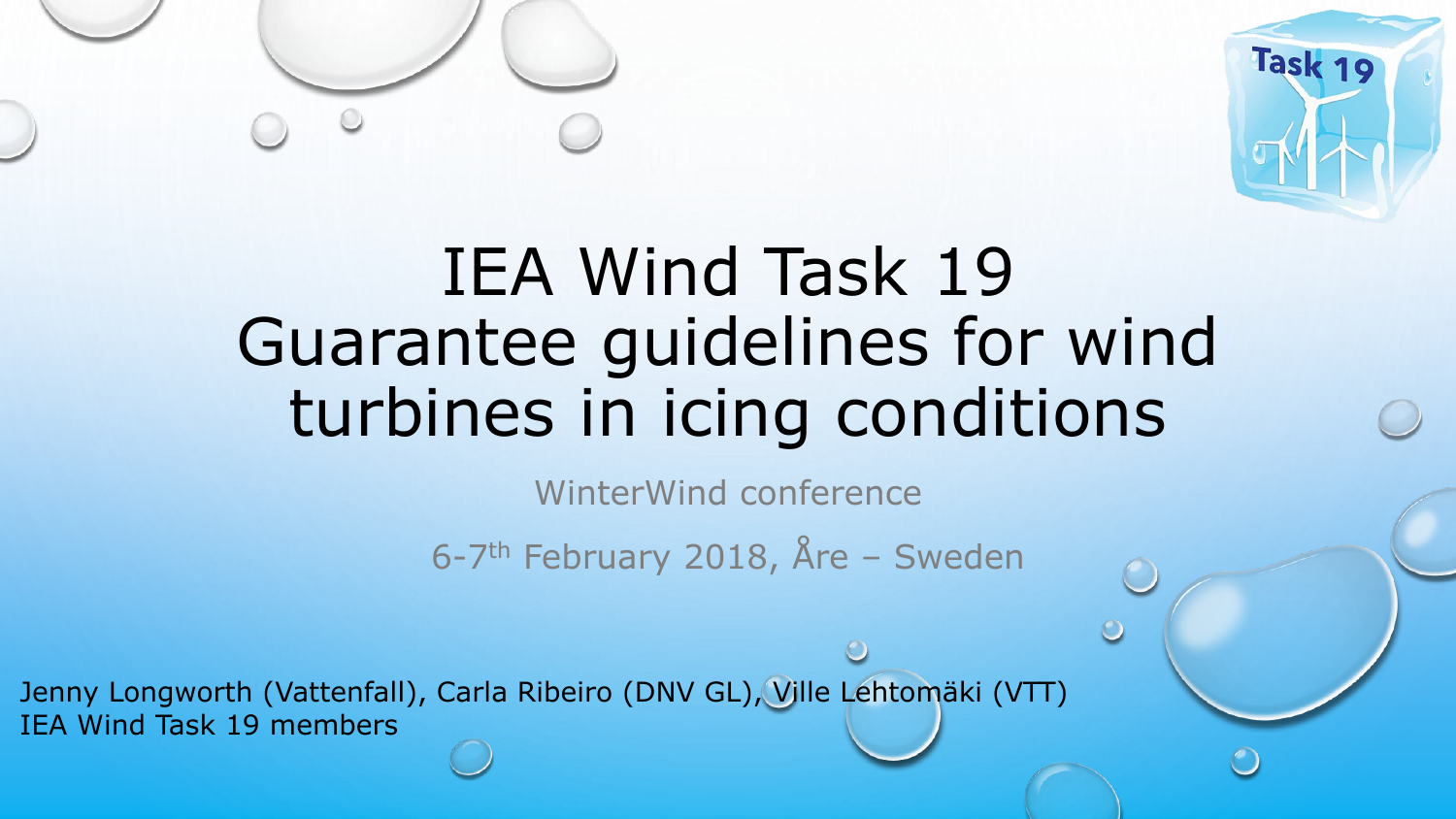



# IEA Wind Task 19 Guarantee guidelines for wind turbines in icing conditions

WinterWind conference

6-7th February 2018, Åre – Sweden

Jenny Longworth (Vattenfall), Carla Ribeiro (DNV GL), Ville Lehtomäki (VTT) IEA Wind Task 19 members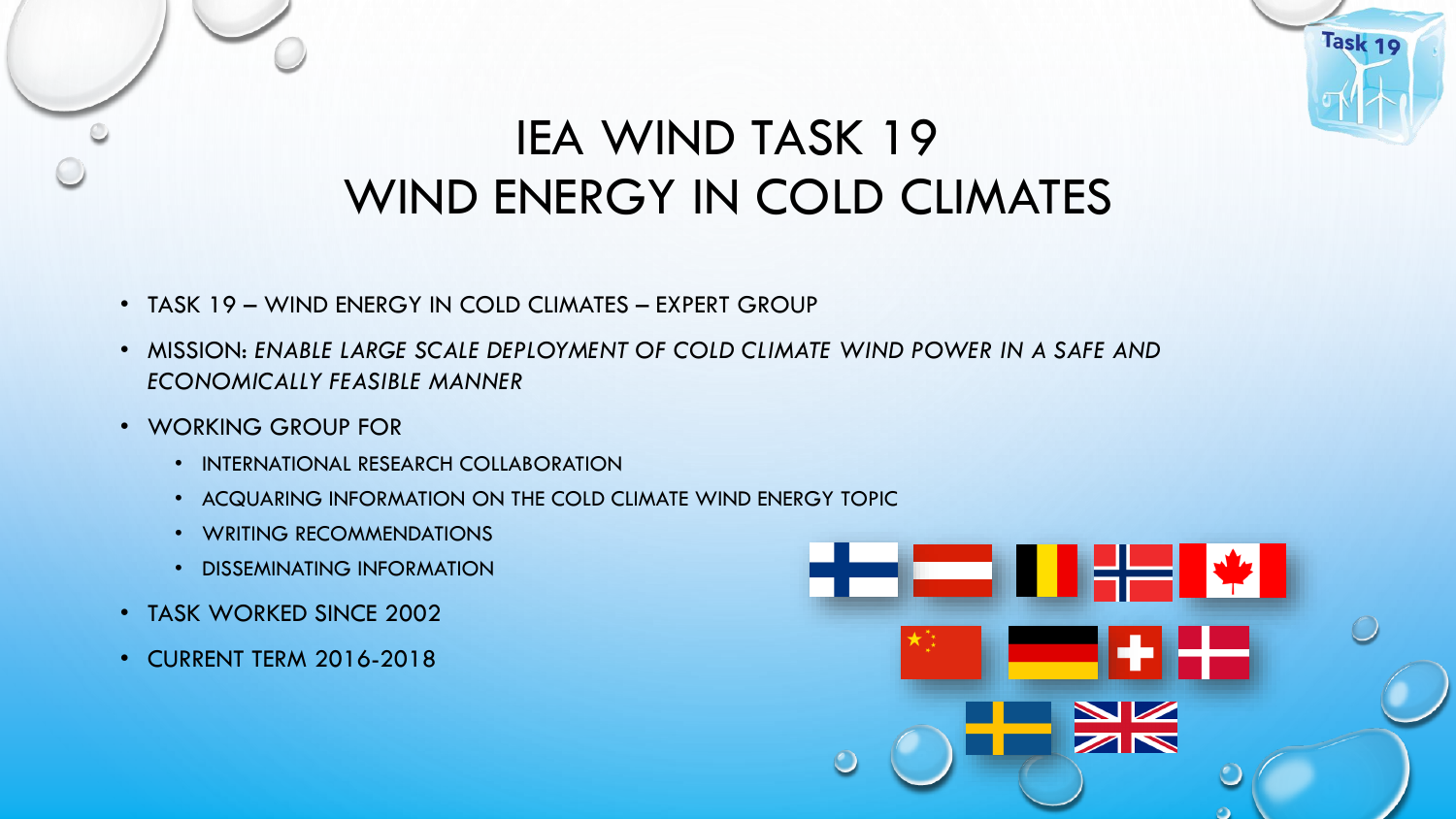## IEA WIND TASK 19 WIND ENERGY IN COLD CLIMATES

- TASK 19 WIND ENERGY IN COLD CLIMATES EXPERT GROUP
- MISSION: *ENABLE LARGE SCALE DEPLOYMENT OF COLD CLIMATE WIND POWER IN A SAFE AND ECONOMICALLY FEASIBLE MANNER*
- WORKING GROUP FOR
	- INTERNATIONAL RESEARCH COLLABORATION
	- ACQUARING INFORMATION ON THE COLD CLIMATE WIND ENERGY TOPIC
	- WRITING RECOMMENDATIONS
	- DISSEMINATING INFORMATION
- TASK WORKED SINCE 2002
- CURRENT TERM 2016-2018

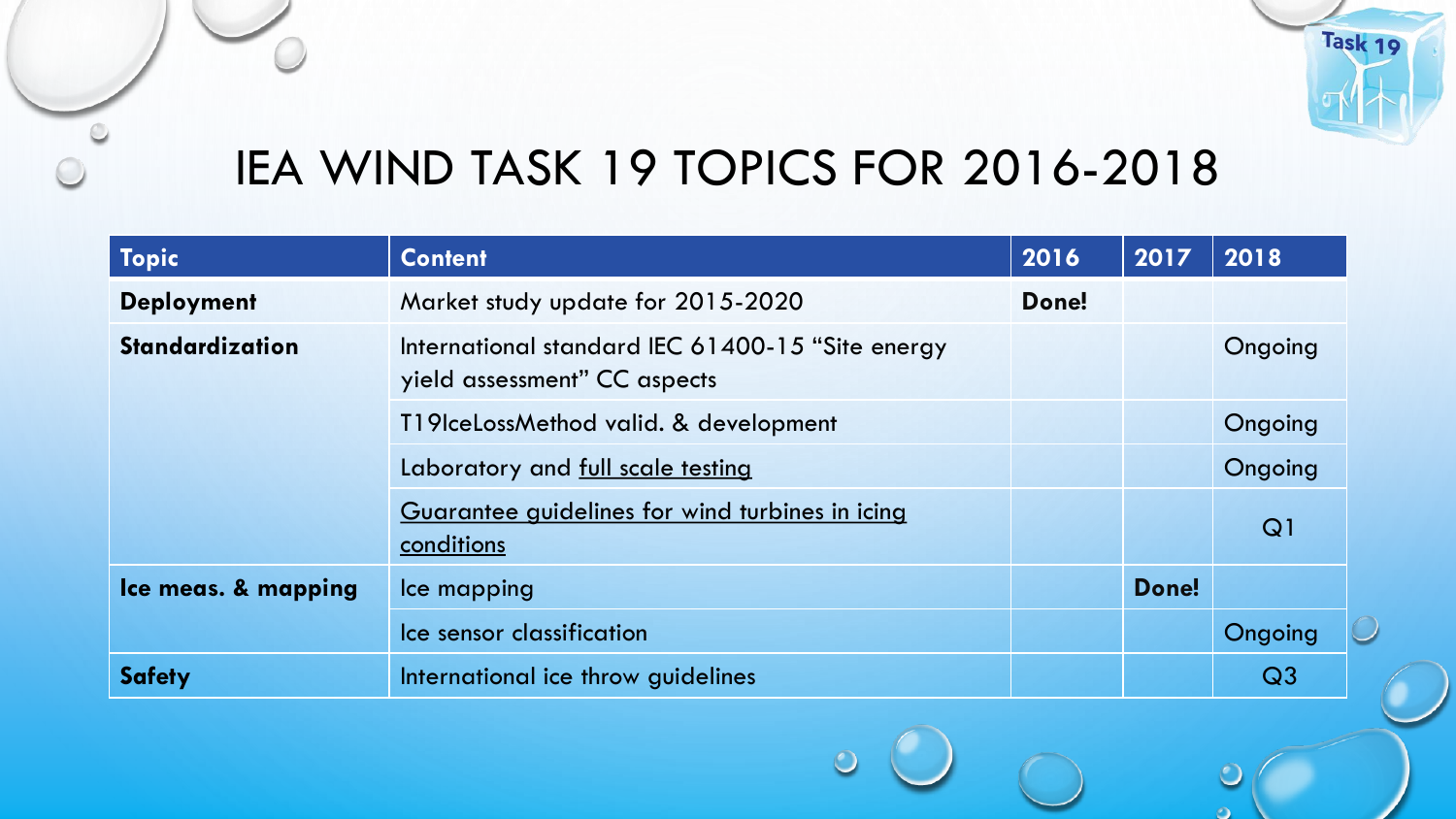

## IEA WIND TASK 19 TOPICS FOR 2016-2018

| Topic                  | <b>Content</b>                                                                   | 2016  | 2017  | 2018           |
|------------------------|----------------------------------------------------------------------------------|-------|-------|----------------|
| <b>Deployment</b>      | Market study update for 2015-2020                                                | Done! |       |                |
| <b>Standardization</b> | International standard IEC 61400-15 "Site energy<br>yield assessment" CC aspects |       |       | Ongoing        |
|                        | T19IceLossMethod valid. & development                                            |       |       | Ongoing        |
|                        | Laboratory and full scale testing                                                |       |       | Ongoing        |
|                        | Guarantee guidelines for wind turbines in icing<br>conditions                    |       |       | Q1             |
| Ice meas. & mapping    | Ice mapping                                                                      |       | Done! |                |
|                        | Ice sensor classification                                                        |       |       | Ongoing        |
| <b>Safety</b>          | International ice throw guidelines                                               |       |       | Q <sub>3</sub> |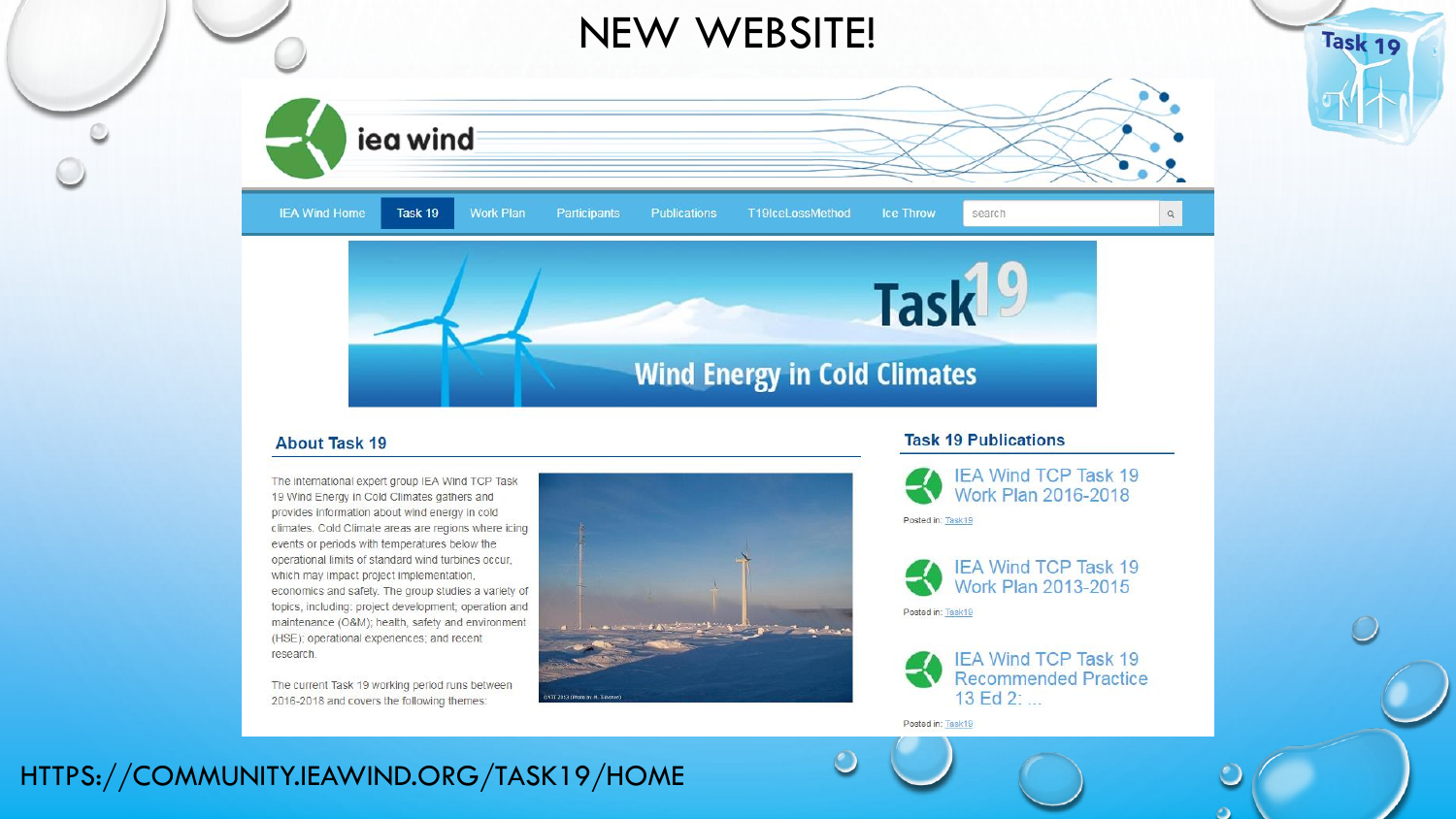

#### **About Task 19**

The international expert group IEA Wind TCP Task 19 Wind Energy in Cold Climates gathers and provides information about wind energy in cold climates. Cold Climate areas are regions where icing events or periods with temperatures below the operational limits of standard wind turbines occur. which may impact project implementation, economics and safety. The group studies a variety of topics, including: project development; operation and maintenance (O&M); health, safety and environment (HSE); operational experiences; and recent research.

The current Task 19 working period runs between 2016-2018 and covers the following themes:



#### **Task 19 Publications**





#### Posted in: Task19

Posted in: Task19

 $\mathcal{O}$ 



### HTTPS://COMMUNITY.IEAWIND.ORG/TASK19/HOME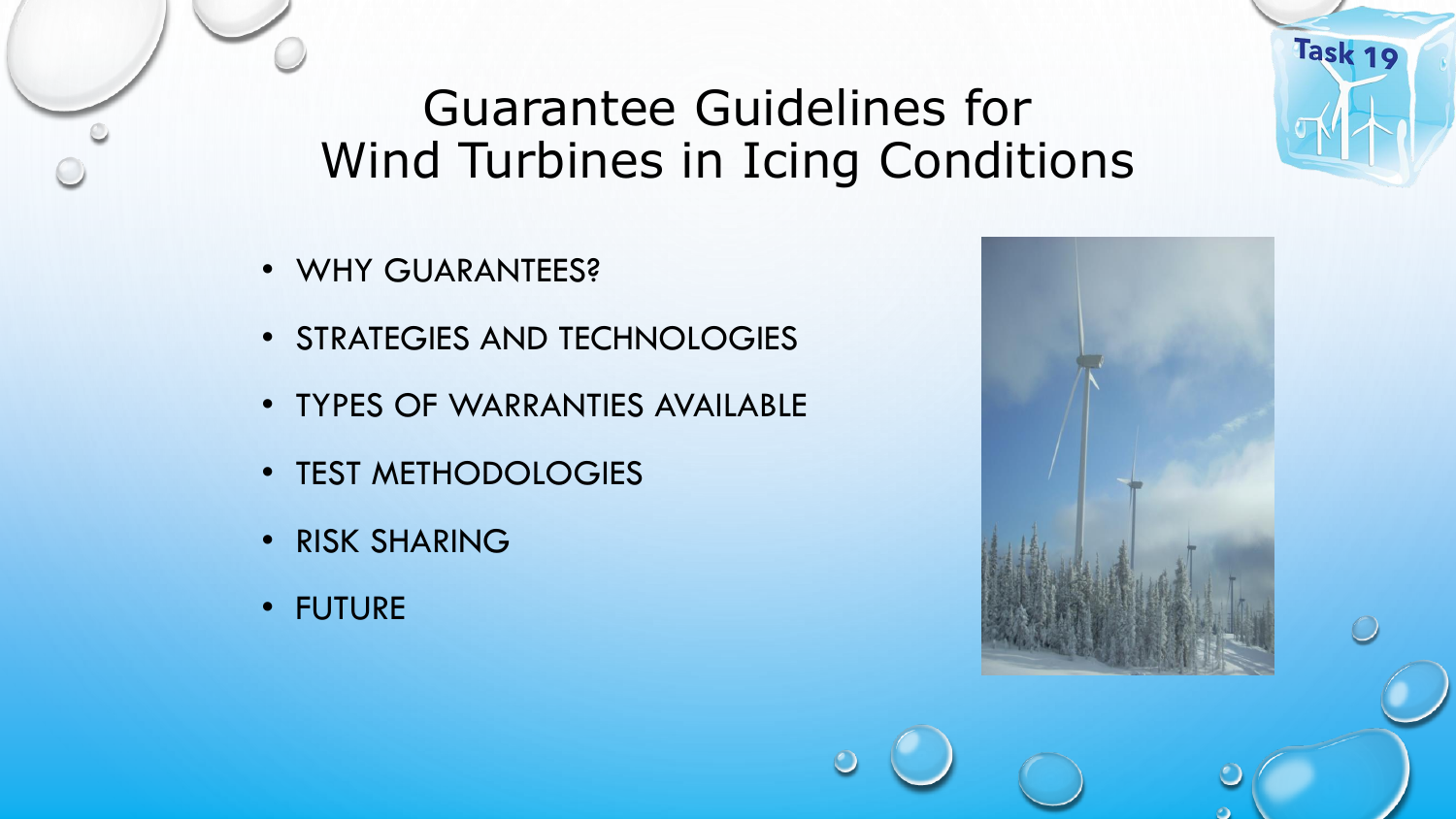## Guarantee Guidelines for Wind Turbines in Icing Conditions

- WHY GUARANTEES?
- STRATEGIES AND TECHNOLOGIES
- TYPES OF WARRANTIES AVAILABLE
- TEST METHODOLOGIES
- RISK SHARING
- FUTURE

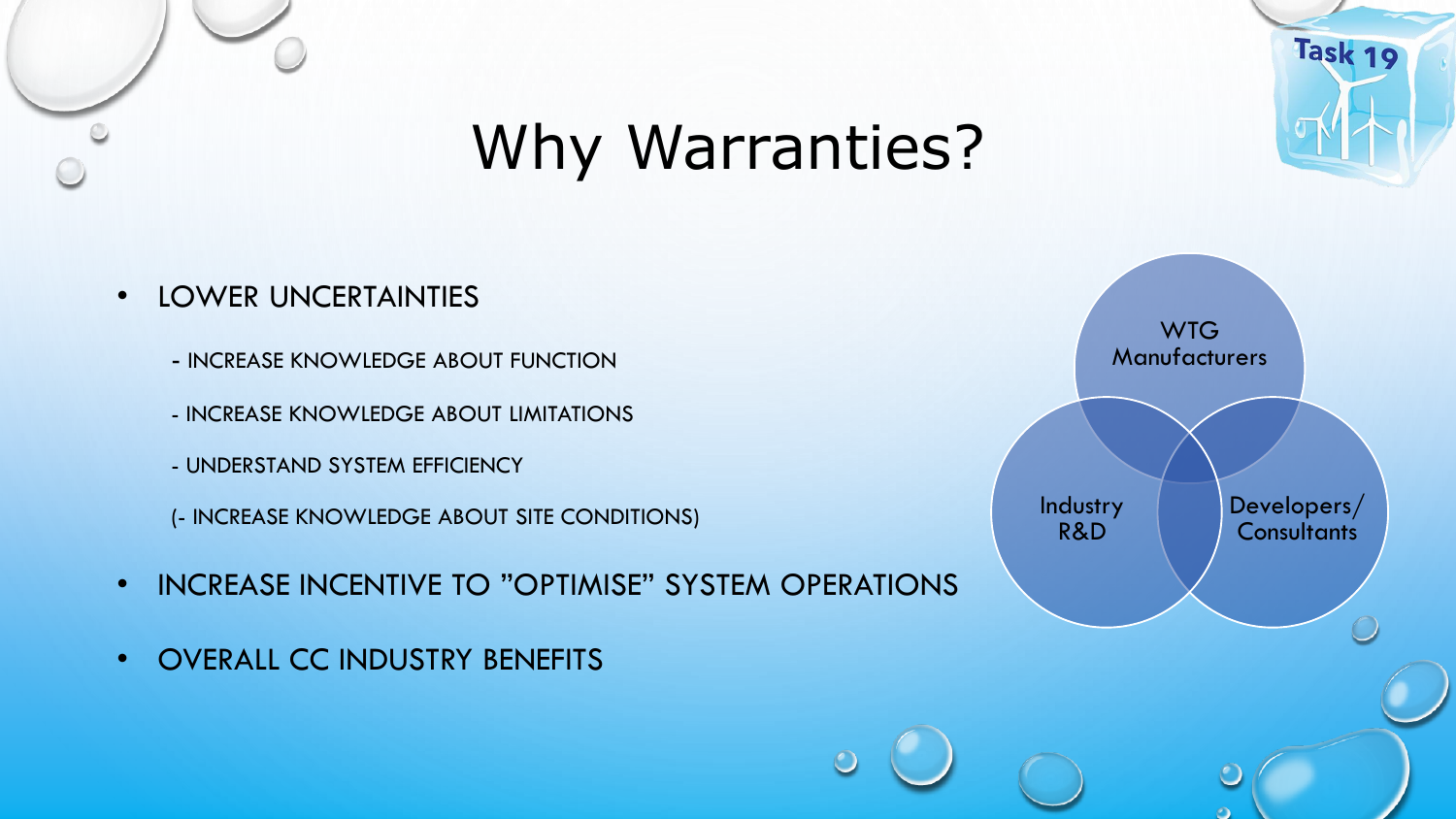

# Why Warranties?

- LOWER UNCERTAINTIES
	- INCREASE KNOWLEDGE ABOUT FUNCTION
	- INCREASE KNOWLEDGE ABOUT LIMITATIONS
	- UNDERSTAND SYSTEM EFFICIENCY
	- (- INCREASE KNOWLEDGE ABOUT SITE CONDITIONS)
- INCREASE INCENTIVE TO "OPTIMISE" SYSTEM OPERATIONS
- OVERALL CC INDUSTRY BENEFITS

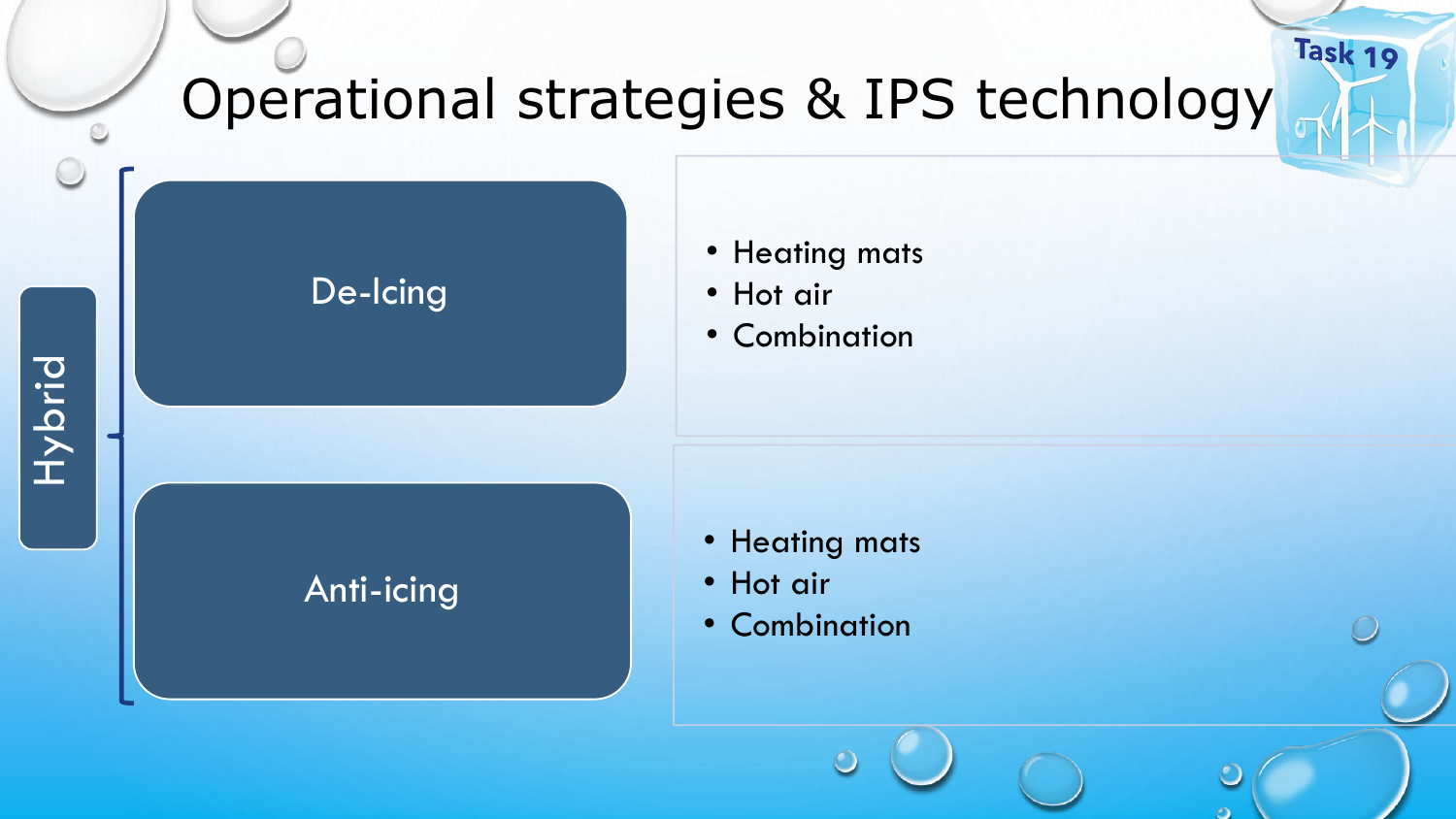## Task 19 Operational strategies & IPS technology

### De-Icing

### • Heating mats

- Hot air
- Combination

Anti-icing

- Heating mats
- Hot air
- Combination

**Hybrid**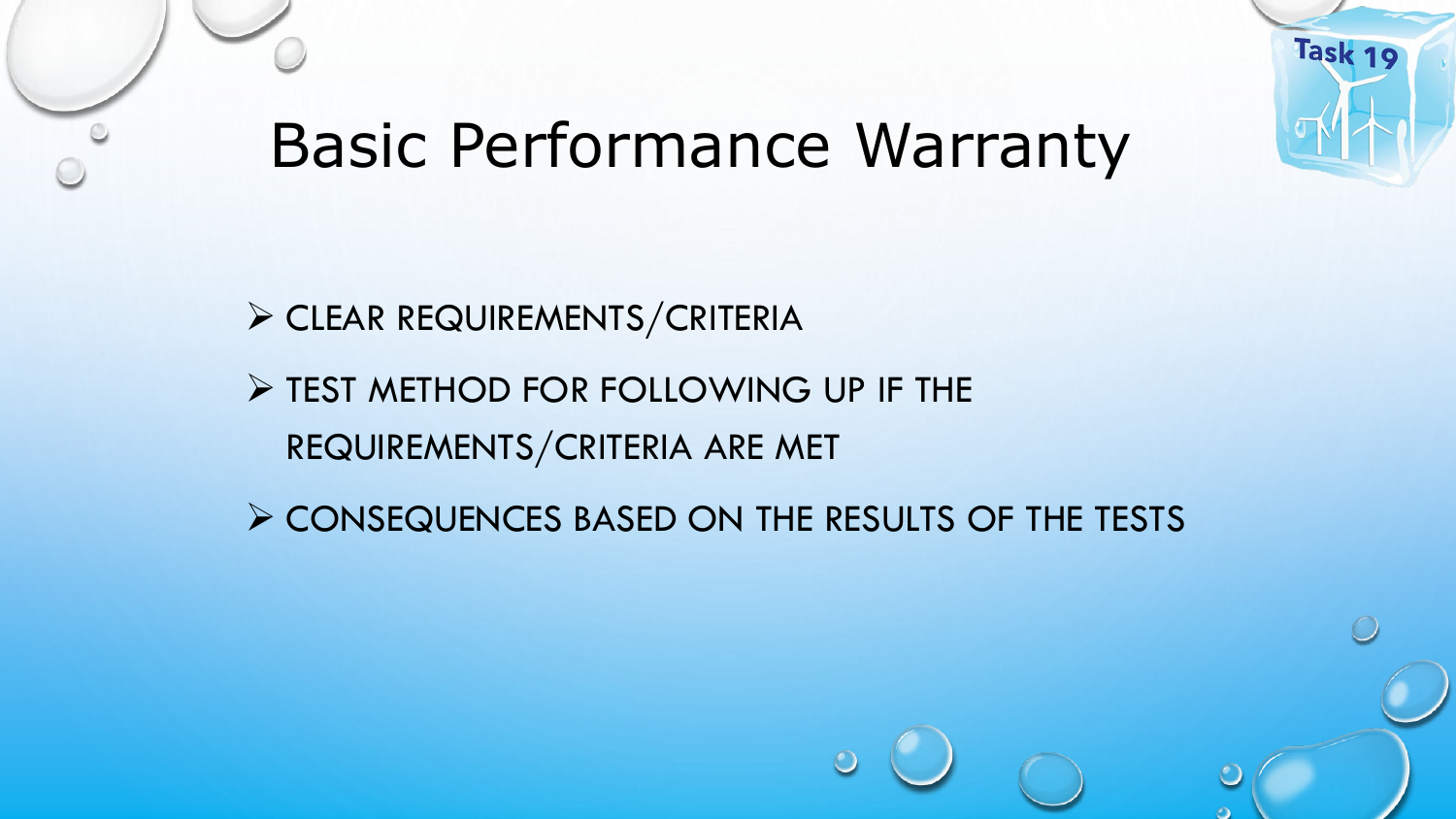

# Basic Performance Warranty

➢ CLEAR REQUIREMENTS/CRITERIA

➢ TEST METHOD FOR FOLLOWING UP IF THE REQUIREMENTS/CRITERIA ARE MET

➢ CONSEQUENCES BASED ON THE RESULTS OF THE TESTS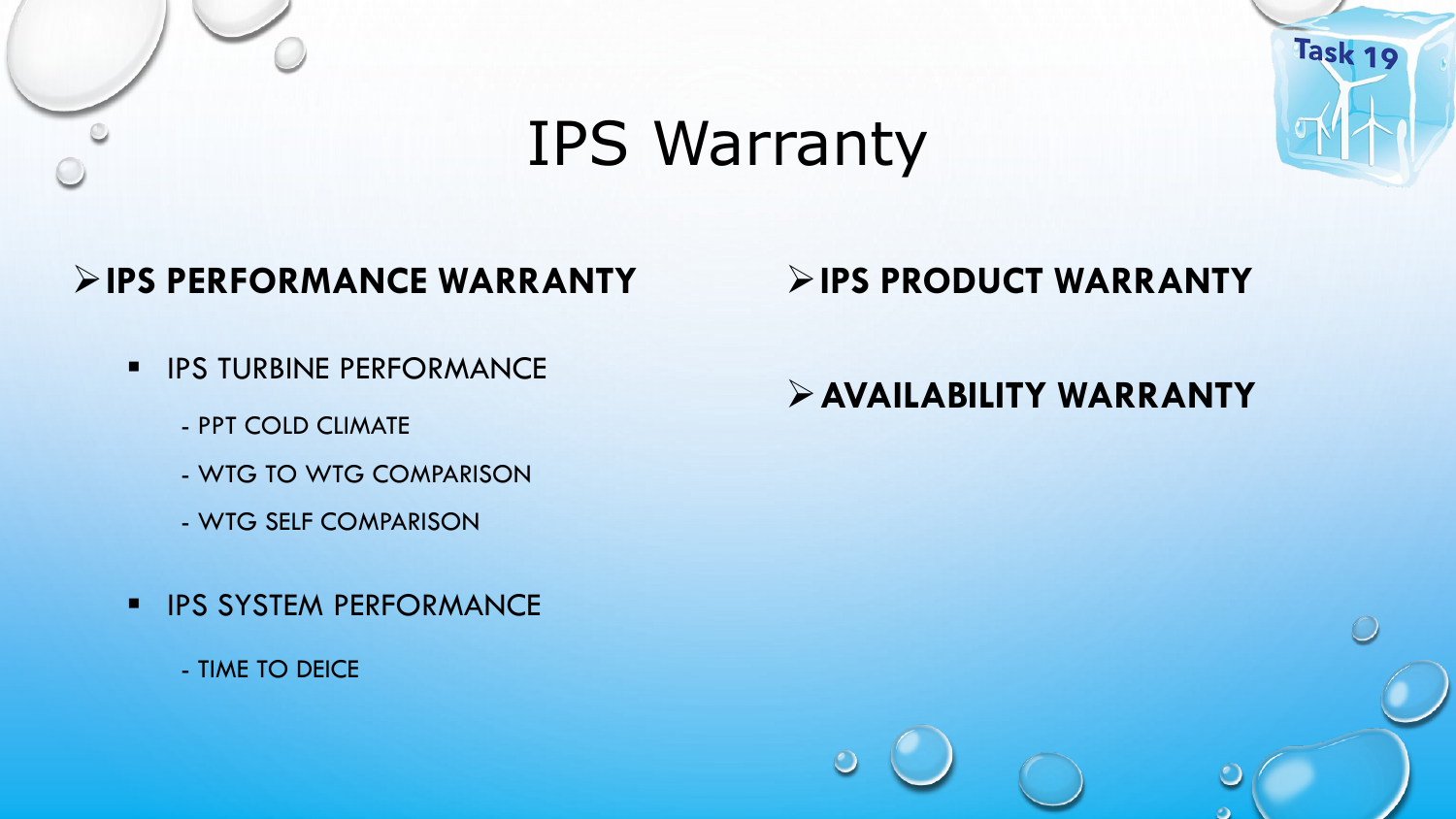

# IPS Warranty



### ➢**IPS PERFORMANCE WARRANTY**

- **· IPS TURBINE PERFORMANCE** 
	- PPT COLD CLIMATE
	- WTG TO WTG COMPARISON
	- WTG SELF COMPARISON
- **· IPS SYSTEM PERFORMANCE** 
	- TIME TO DEICE

### ➢**IPS PRODUCT WARRANTY**

### ➢**AVAILABILITY WARRANTY**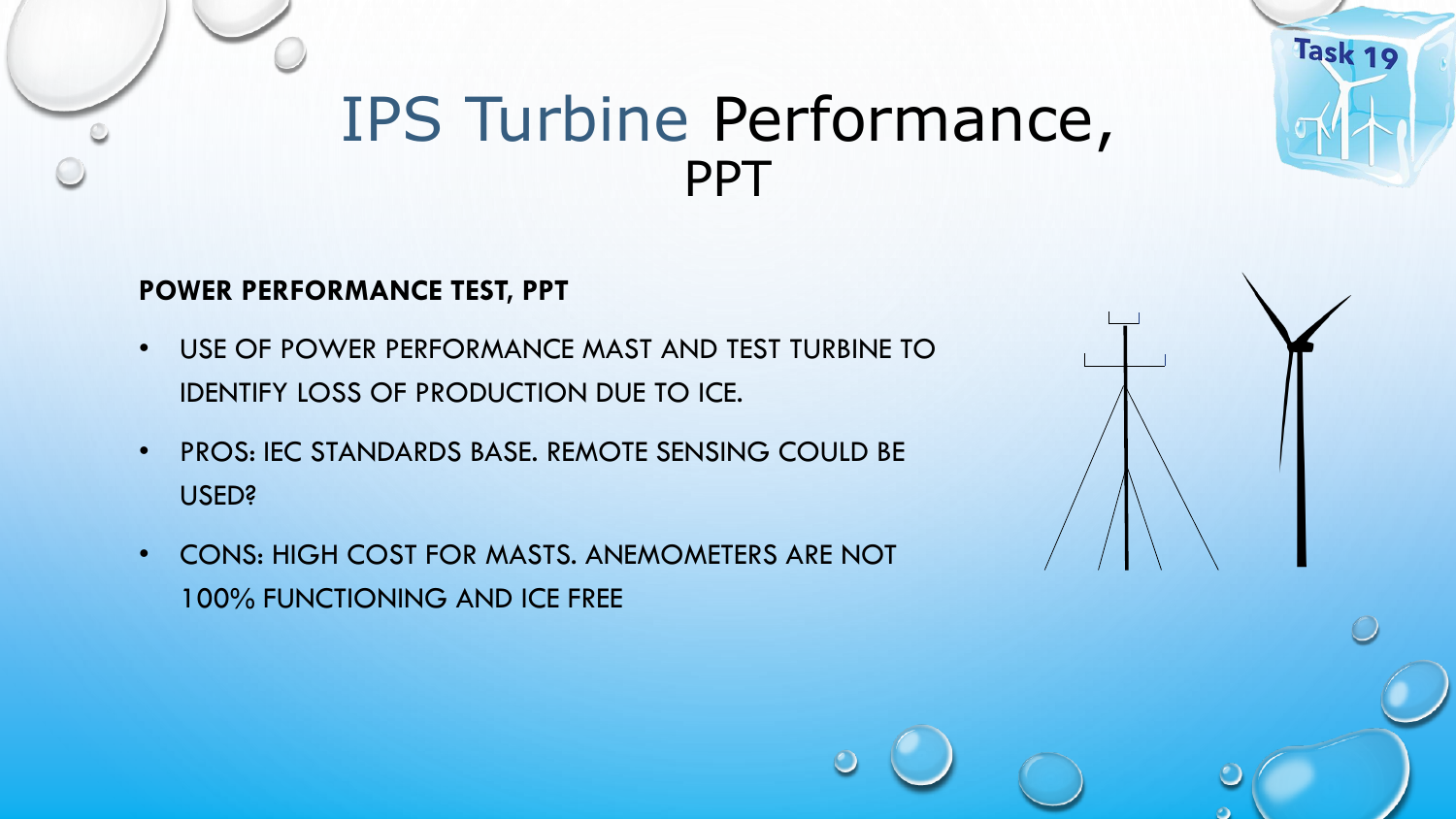## IPS Turbine Performance, PPT

### **POWER PERFORMANCE TEST, PPT**

- USE OF POWER PERFORMANCE MAST AND TEST TURBINE TO IDENTIFY LOSS OF PRODUCTION DUE TO ICE.
- PROS: IEC STANDARDS BASE. REMOTE SENSING COULD BE USED?
- CONS: HIGH COST FOR MASTS. ANEMOMETERS ARE NOT 100% FUNCTIONING AND ICE FREE

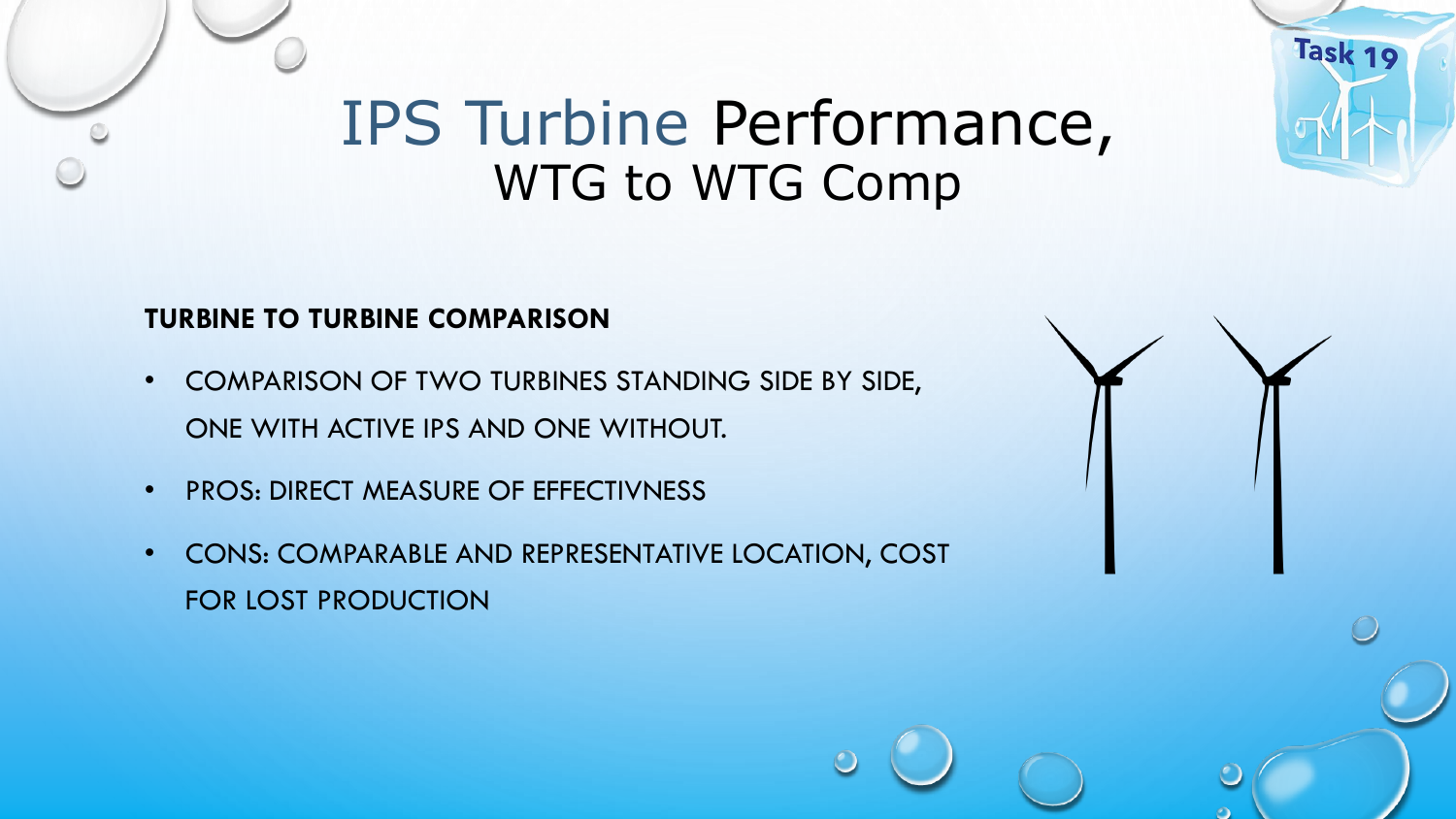# IPS Turbine Performance, WTG to WTG Comp

### **TURBINE TO TURBINE COMPARISON**

- COMPARISON OF TWO TURBINES STANDING SIDE BY SIDE, ONE WITH ACTIVE IPS AND ONE WITHOUT.
- PROS: DIRECT MEASURE OF EFFECTIVNESS
- CONS: COMPARABLE AND REPRESENTATIVE LOCATION, COST FOR LOST PRODUCTION

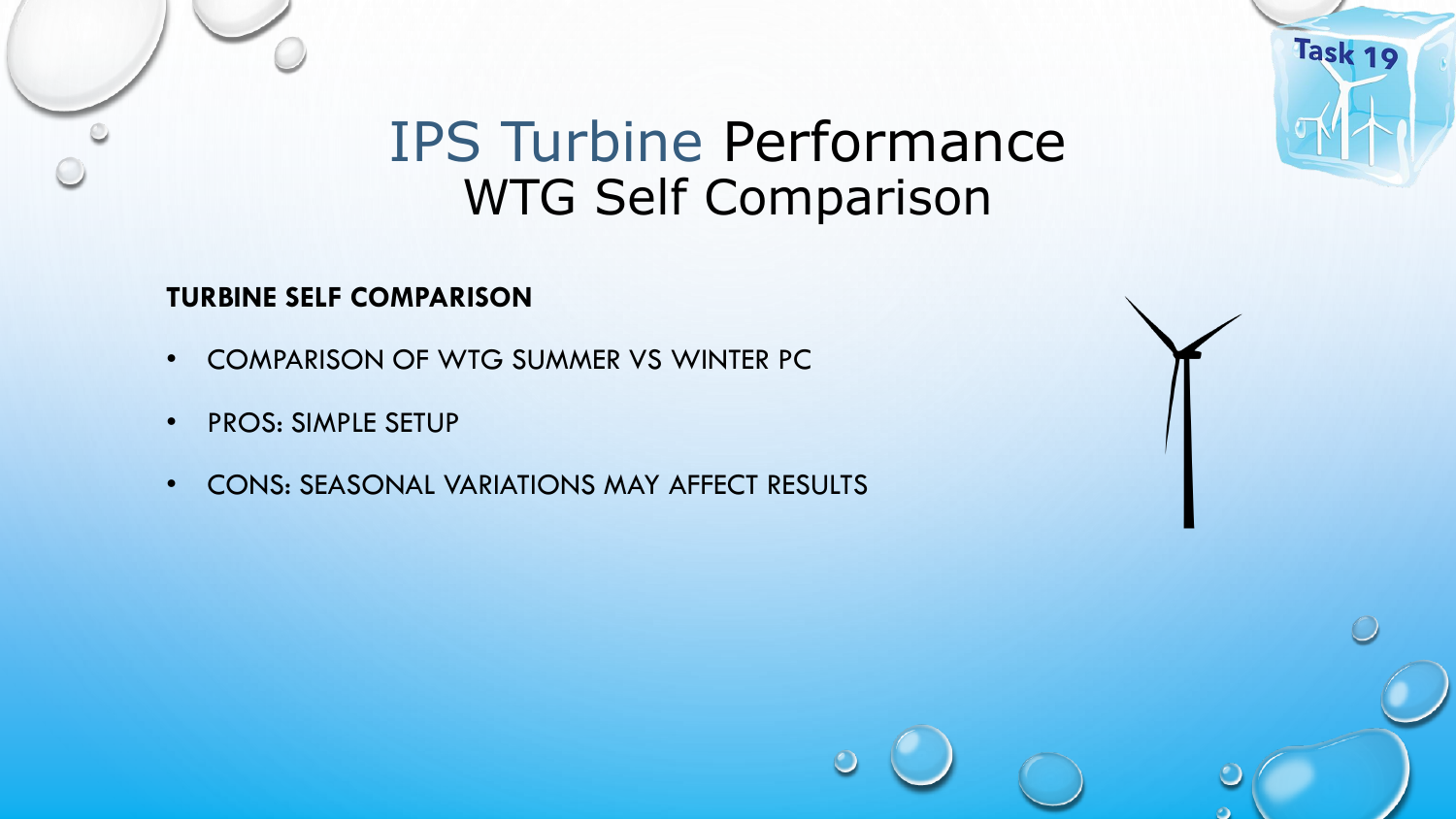## IPS Turbine Performance WTG Self Comparison

Task 19

### **TURBINE SELF COMPARISON**

- COMPARISON OF WTG SUMMER VS WINTER PC
- PROS: SIMPLE SETUP
- CONS: SEASONAL VARIATIONS MAY AFFECT RESULTS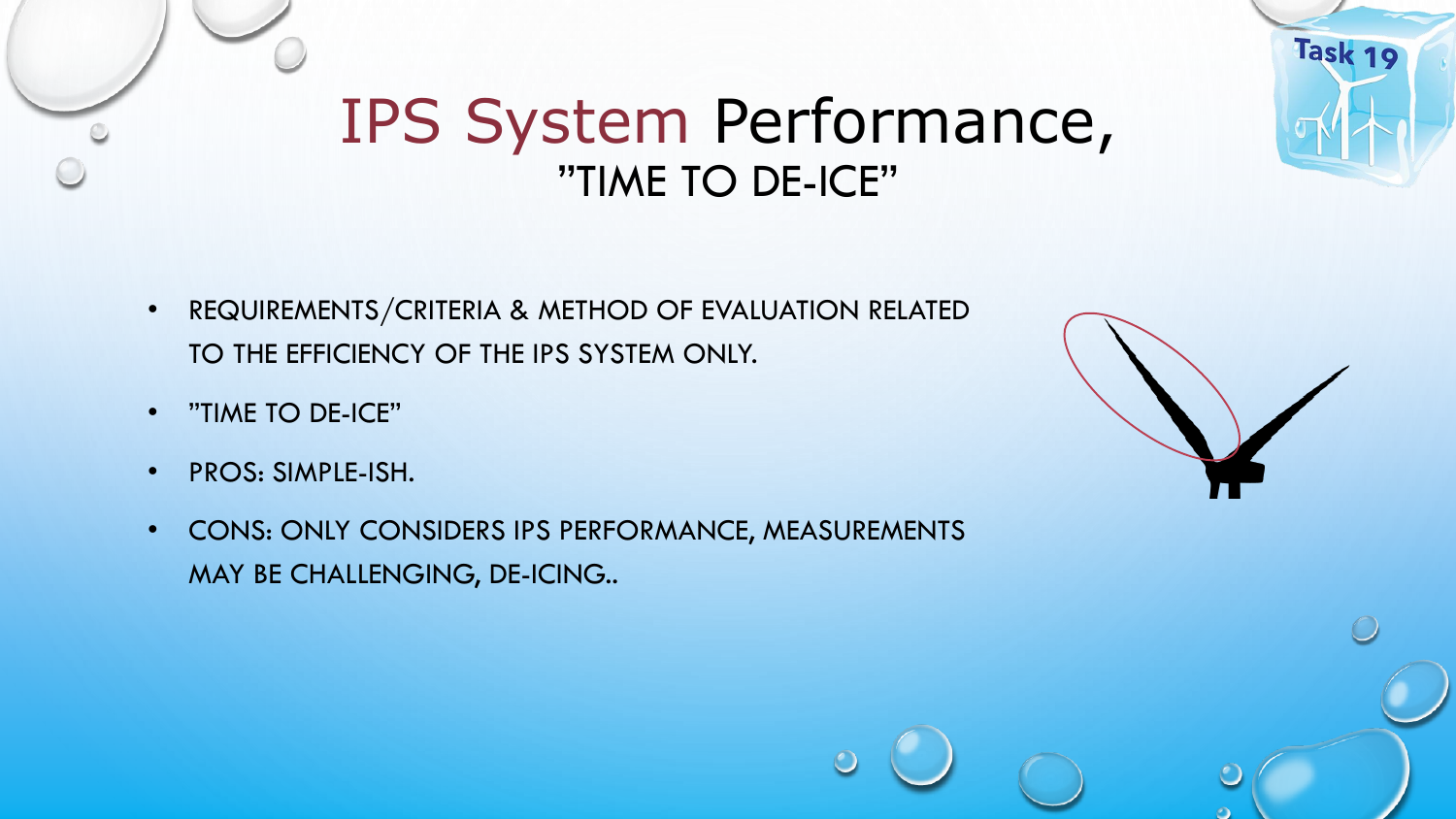## IPS System Performance, "TIME TO DE-ICE"

- REQUIREMENTS/CRITERIA & METHOD OF EVALUATION RELATED TO THE EFFICIENCY OF THE IPS SYSTEM ONLY.
- "TIME TO DE-ICE"
- PROS: SIMPLE-ISH.
- CONS: ONLY CONSIDERS IPS PERFORMANCE, MEASUREMENTS MAY BE CHALLENGING, DE-ICING..

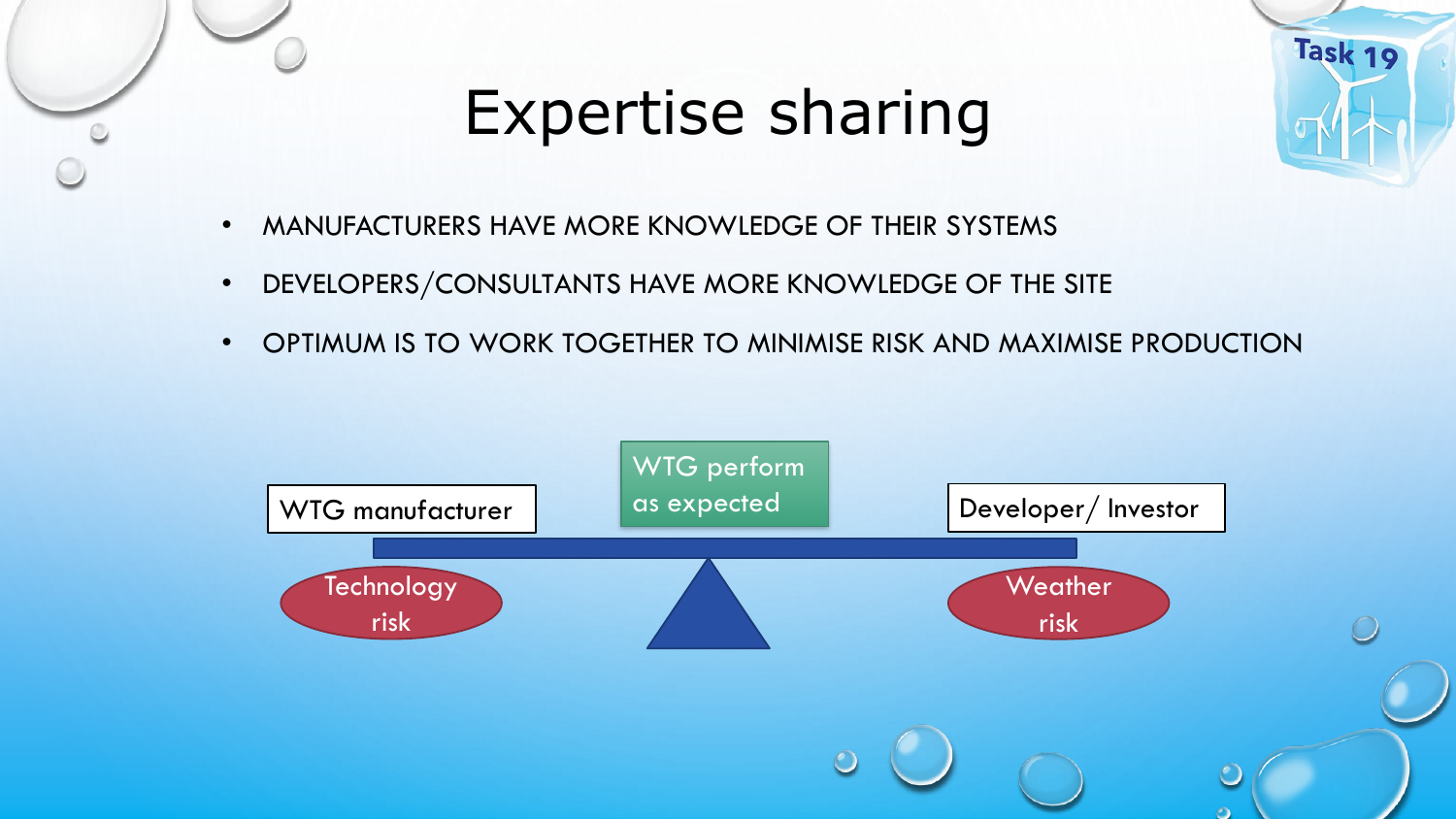

# Expertise sharing



- MANUFACTURERS HAVE MORE KNOWLEDGE OF THEIR SYSTEMS
- DEVELOPERS/CONSULTANTS HAVE MORE KNOWLEDGE OF THE SITE
- OPTIMUM IS TO WORK TOGETHER TO MINIMISE RISK AND MAXIMISE PRODUCTION

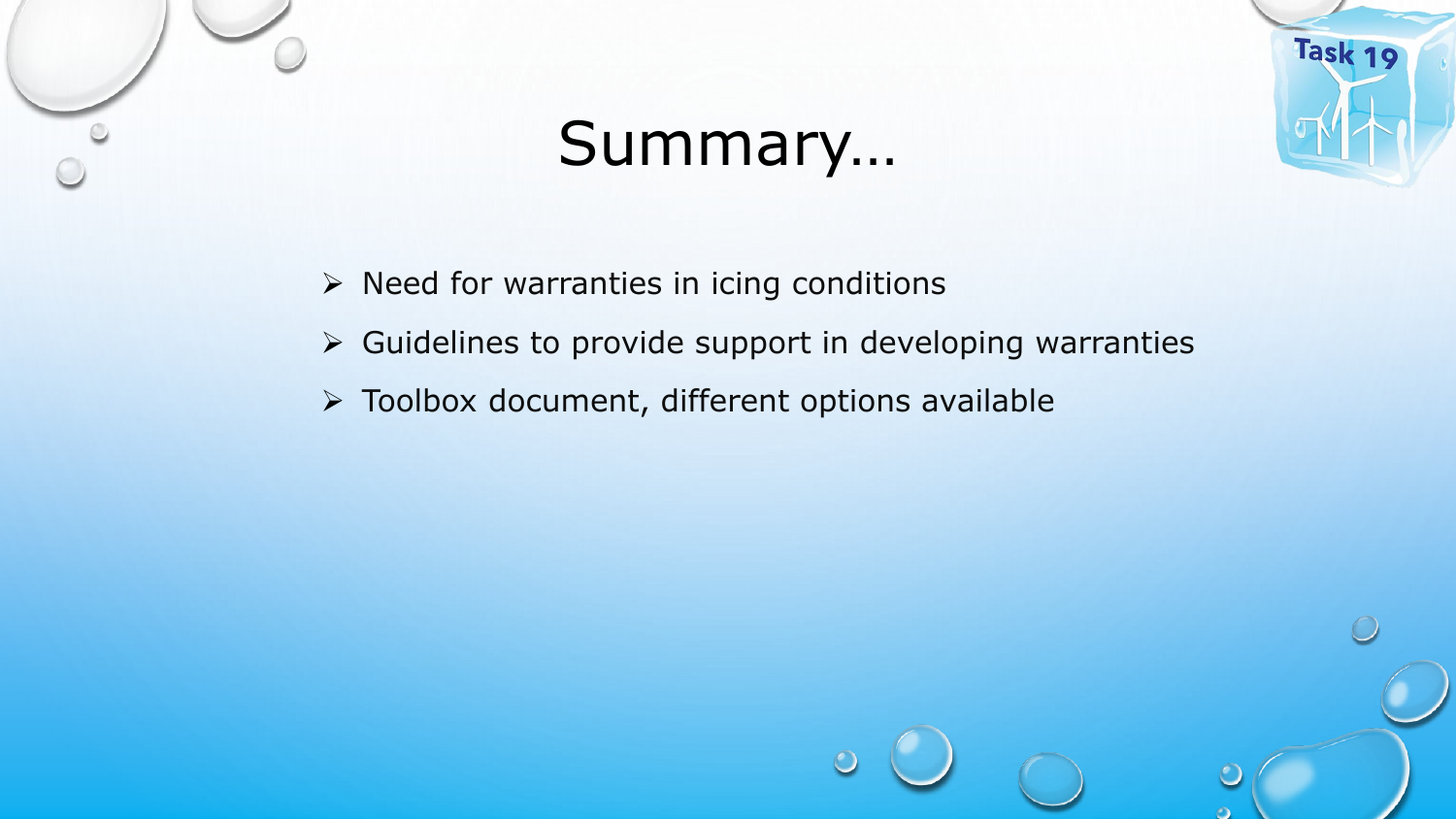

# Summary…



- ➢ Need for warranties in icing conditions
- ➢ Guidelines to provide support in developing warranties
- ➢ Toolbox document, different options available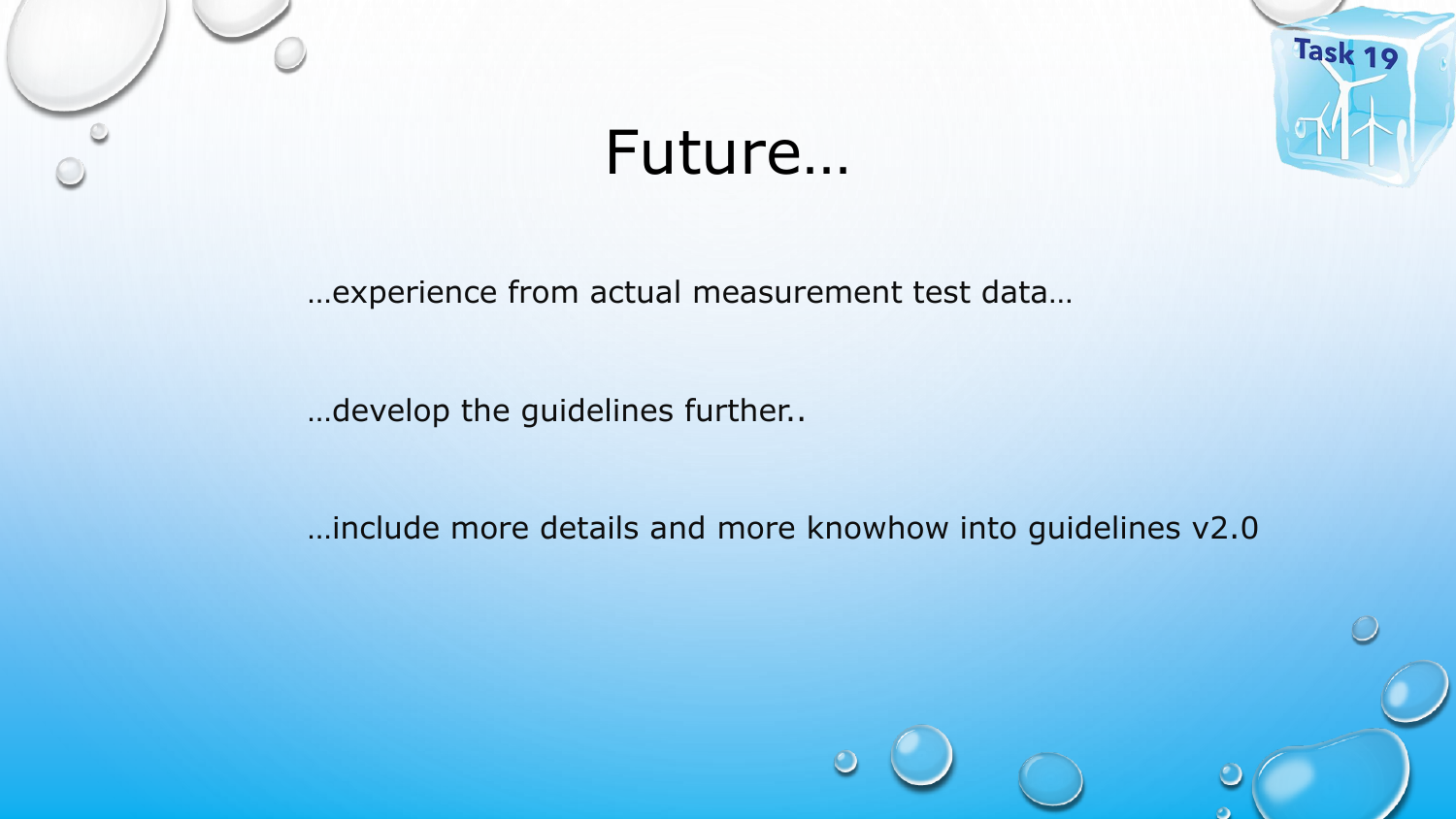



# Future…

…experience from actual measurement test data…

…develop the guidelines further..

…include more details and more knowhow into guidelines v2.0